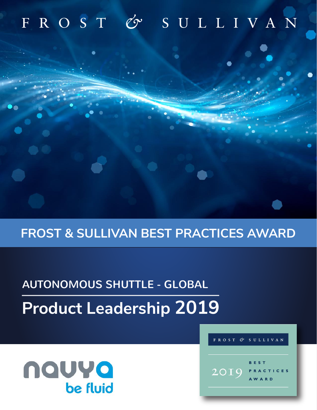## & SULLIVAN FROST

## **FROST & SULLIVAN BEST PRACTICES AWARD**

# **Product Leadership 2019** AUTONOMOUS SHUTTLE - GLOBAL

## nauya be fluid



Cr

FROST

**SULLIVAN**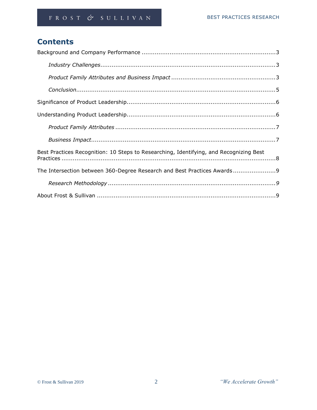## **Contents**

| Best Practices Recognition: 10 Steps to Researching, Identifying, and Recognizing Best |
|----------------------------------------------------------------------------------------|
| The Intersection between 360-Degree Research and Best Practices Awards9                |
|                                                                                        |
|                                                                                        |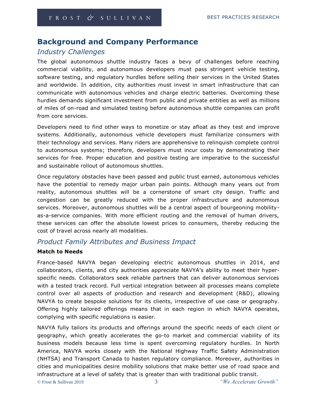## **Background and Company Performance**

## *Industry Challenges*

The global autonomous shuttle industry faces a bevy of challenges before reaching commercial viability, and autonomous developers must pass stringent vehicle testing, software testing, and regulatory hurdles before selling their services in the United States and worldwide. In addition, city authorities must invest in smart infrastructure that can communicate with autonomous vehicles and charge electric batteries. Overcoming these hurdles demands significant investment from public and private entities as well as millions of miles of on-road and simulated testing before autonomous shuttle companies can profit from core services.

Developers need to find other ways to monetize or stay afloat as they test and improve systems. Additionally, autonomous vehicle developers must familiarize consumers with their technology and services. Many riders are apprehensive to relinquish complete control to autonomous systems; therefore, developers must incur costs by demonstrating their services for free. Proper education and positive testing are imperative to the successful and sustainable rollout of autonomous shuttles.

Once regulatory obstacles have been passed and public trust earned, autonomous vehicles have the potential to remedy major urban pain points. Although many years out from reality, autonomous shuttles will be a cornerstone of smart city design. Traffic and congestion can be greatly reduced with the proper infrastructure and autonomous services. Moreover, autonomous shuttles will be a central aspect of bourgeoning mobilityas-a-service companies. With more efficient routing and the removal of human drivers, these services can offer the absolute lowest prices to consumers, thereby reducing the cost of travel across nearly all modalities.

## *Product Family Attributes and Business Impact*

#### **Match to Needs**

France-based NAVYA began developing electric autonomous shuttles in 2014, and collaborators, clients, and city authorities appreciate NAVYA's ability to meet their hyperspecific needs. Collaborators seek reliable partners that can deliver autonomous services with a tested track record. Full vertical integration between all processes means complete control over all aspects of production and research and development (R&D), allowing NAVYA to create bespoke solutions for its clients, irrespective of use case or geography. Offering highly tailored offerings means that in each region in which NAVYA operates, complying with specific regulations is easier.

NAVYA fully tailors its products and offerings around the specific needs of each client or geography, which greatly accelerates the go-to market and commercial viability of its business models because less time is spent overcoming regulatory hurdles. In North America, NAVYA works closely with the National Highway Traffic Safety Administration (NHTSA) and Transport Canada to hasten regulatory compliance. Moreover, authorities in cities and municipalities desire mobility solutions that make better use of road space and infrastructure at a level of safety that is greater than with traditional public transit.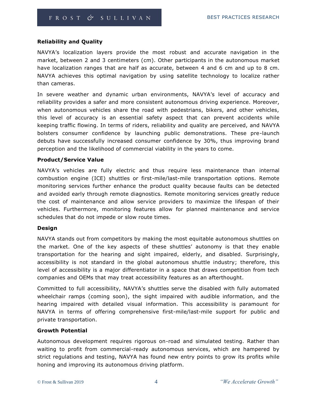#### **Reliability and Quality**

NAVYA's localization layers provide the most robust and accurate navigation in the market, between 2 and 3 centimeters (cm). Other participants in the autonomous market have localization ranges that are half as accurate, between 4 and 6 cm and up to 8 cm. NAVYA achieves this optimal navigation by using satellite technology to localize rather than cameras.

In severe weather and dynamic urban environments, NAVYA's level of accuracy and reliability provides a safer and more consistent autonomous driving experience. Moreover, when autonomous vehicles share the road with pedestrians, bikers, and other vehicles, this level of accuracy is an essential safety aspect that can prevent accidents while keeping traffic flowing. In terms of riders, reliability and quality are perceived, and NAVYA bolsters consumer confidence by launching public demonstrations. These pre-launch debuts have successfully increased consumer confidence by 30%, thus improving brand perception and the likelihood of commercial viability in the years to come.

#### **Product/Service Value**

NAVYA's vehicles are fully electric and thus require less maintenance than internal combustion engine (ICE) shuttles or first-mile/last-mile transportation options. Remote monitoring services further enhance the product quality because faults can be detected and avoided early through remote diagnostics. Remote monitoring services greatly reduce the cost of maintenance and allow service providers to maximize the lifespan of their vehicles. Furthermore, monitoring features allow for planned maintenance and service schedules that do not impede or slow route times.

#### **Design**

NAVYA stands out from competitors by making the most equitable autonomous shuttles on the market. One of the key aspects of these shuttles' autonomy is that they enable transportation for the hearing and sight impaired, elderly, and disabled. Surprisingly, accessibility is not standard in the global autonomous shuttle industry; therefore, this level of accessibility is a major differentiator in a space that draws competition from tech companies and OEMs that may treat accessibility features as an afterthought.

Committed to full accessibility, NAVYA's shuttles serve the disabled with fully automated wheelchair ramps (coming soon), the sight impaired with audible information, and the hearing impaired with detailed visual information. This accessibility is paramount for NAVYA in terms of offering comprehensive first-mile/last-mile support for public and private transportation.

#### **Growth Potential**

Autonomous development requires rigorous on-road and simulated testing. Rather than waiting to profit from commercial-ready autonomous services, which are hampered by strict regulations and testing, NAVYA has found new entry points to grow its profits while honing and improving its autonomous driving platform.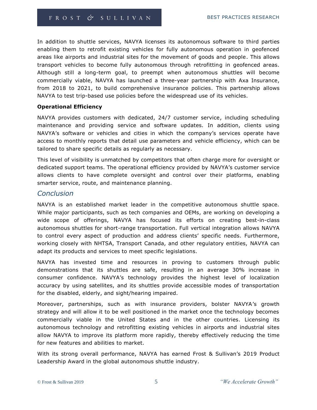In addition to shuttle services, NAVYA licenses its autonomous software to third parties enabling them to retrofit existing vehicles for fully autonomous operation in geofenced areas like airports and industrial sites for the movement of goods and people. This allows transport vehicles to become fully autonomous through retrofitting in geofenced areas. Although still a long-term goal, to preempt when autonomous shuttles will become commercially viable, NAVYA has launched a three-year partnership with Axa Insurance, from 2018 to 2021, to build comprehensive insurance policies. This partnership allows NAVYA to test trip-based use policies before the widespread use of its vehicles.

#### **Operational Efficiency**

NAVYA provides customers with dedicated, 24/7 customer service, including scheduling maintenance and providing service and software updates. In addition, clients using NAVYA's software or vehicles and cities in which the company's services operate have access to monthly reports that detail use parameters and vehicle efficiency, which can be tailored to share specific details as regularly as necessary.

This level of visibility is unmatched by competitors that often charge more for oversight or dedicated support teams. The operational efficiency provided by NAVYA's customer service allows clients to have complete oversight and control over their platforms, enabling smarter service, route, and maintenance planning.

#### *Conclusion*

NAVYA is an established market leader in the competitive autonomous shuttle space. While major participants, such as tech companies and OEMs, are working on developing a wide scope of offerings, NAVYA has focused its efforts on creating best-in-class autonomous shuttles for short-range transportation. Full vertical integration allows NAVYA to control every aspect of production and address clients' specific needs. Furthermore, working closely with NHTSA, Transport Canada, and other regulatory entities, NAVYA can adapt its products and services to meet specific legislations.

NAVYA has invested time and resources in proving to customers through public demonstrations that its shuttles are safe, resulting in an average 30% increase in consumer confidence. NAVYA's technology provides the highest level of localization accuracy by using satellites, and its shuttles provide accessible modes of transportation for the disabled, elderly, and sight/hearing impaired.

Moreover, partnerships, such as with insurance providers, bolster NAVYA's growth strategy and will allow it to be well positioned in the market once the technology becomes commercially viable in the United States and in the other countries. Licensing its autonomous technology and retrofitting existing vehicles in airports and industrial sites allow NAVYA to improve its platform more rapidly, thereby effectively reducing the time for new features and abilities to market.

With its strong overall performance, NAVYA has earned Frost & Sullivan's 2019 Product Leadership Award in the global autonomous shuttle industry.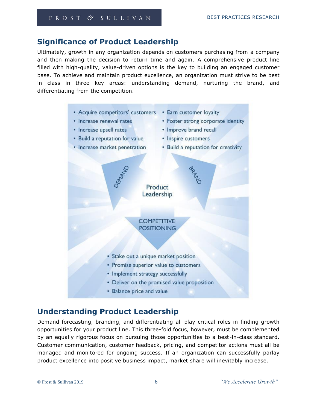## **Significance of Product Leadership**

Ultimately, growth in any organization depends on customers purchasing from a company and then making the decision to return time and again. A comprehensive product line filled with high-quality, value-driven options is the key to building an engaged customer base. To achieve and maintain product excellence, an organization must strive to be best in class in three key areas: understanding demand, nurturing the brand, and differentiating from the competition.



## **Understanding Product Leadership**

Demand forecasting, branding, and differentiating all play critical roles in finding growth opportunities for your product line. This three-fold focus, however, must be complemented by an equally rigorous focus on pursuing those opportunities to a best-in-class standard. Customer communication, customer feedback, pricing, and competitor actions must all be managed and monitored for ongoing success. If an organization can successfully parlay product excellence into positive business impact, market share will inevitably increase.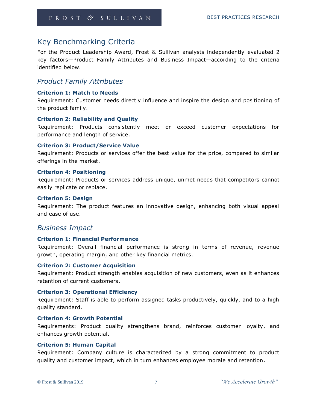## Key Benchmarking Criteria

For the Product Leadership Award, Frost & Sullivan analysts independently evaluated 2 key factors—Product Family Attributes and Business Impact—according to the criteria identified below.

### *Product Family Attributes*

#### **Criterion 1: Match to Needs**

Requirement: Customer needs directly influence and inspire the design and positioning of the product family.

#### **Criterion 2: Reliability and Quality**

Requirement: Products consistently meet or exceed customer expectations for performance and length of service.

#### **Criterion 3: Product/Service Value**

Requirement: Products or services offer the best value for the price, compared to similar offerings in the market.

#### **Criterion 4: Positioning**

Requirement: Products or services address unique, unmet needs that competitors cannot easily replicate or replace.

#### **Criterion 5: Design**

Requirement: The product features an innovative design, enhancing both visual appeal and ease of use.

#### *Business Impact*

#### **Criterion 1: Financial Performance**

Requirement: Overall financial performance is strong in terms of revenue, revenue growth, operating margin, and other key financial metrics.

#### **Criterion 2: Customer Acquisition**

Requirement: Product strength enables acquisition of new customers, even as it enhances retention of current customers.

#### **Criterion 3: Operational Efficiency**

Requirement: Staff is able to perform assigned tasks productively, quickly, and to a high quality standard.

#### **Criterion 4: Growth Potential**

Requirements: Product quality strengthens brand, reinforces customer loyalty, and enhances growth potential.

#### **Criterion 5: Human Capital**

Requirement: Company culture is characterized by a strong commitment to product quality and customer impact, which in turn enhances employee morale and retention.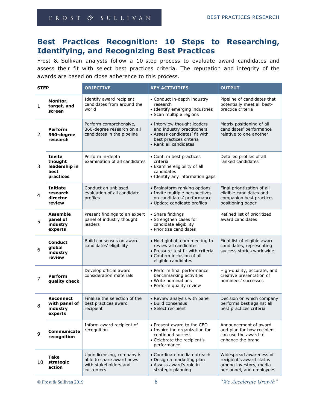#### FROST & SULLIVAN

## **Best Practices Recognition: 10 Steps to Researching, Identifying, and Recognizing Best Practices**

Frost & Sullivan analysts follow a 10-step process to evaluate award candidates and assess their fit with select best practices criteria. The reputation and integrity of the awards are based on close adherence to this process.

| <b>STEP</b>    |                                                          | <b>OBJECTIVE</b>                                                                             | <b>KEY ACTIVITIES</b>                                                                                                                            | <b>OUTPUT</b>                                                                                             |
|----------------|----------------------------------------------------------|----------------------------------------------------------------------------------------------|--------------------------------------------------------------------------------------------------------------------------------------------------|-----------------------------------------------------------------------------------------------------------|
| $\mathbf{1}$   | Monitor,<br>target, and<br>screen                        | Identify award recipient<br>candidates from around the<br>world                              | • Conduct in-depth industry<br>research<br>• Identify emerging industries<br>· Scan multiple regions                                             | Pipeline of candidates that<br>potentially meet all best-<br>practice criteria                            |
| 2              | <b>Perform</b><br>360-degree<br>research                 | Perform comprehensive,<br>360-degree research on all<br>candidates in the pipeline           | • Interview thought leaders<br>and industry practitioners<br>• Assess candidates' fit with<br>best practices criteria<br>• Rank all candidates   | Matrix positioning of all<br>candidates' performance<br>relative to one another                           |
| 3              | Invite<br>thought<br>leadership in<br>best<br>practices  | Perform in-depth<br>examination of all candidates                                            | • Confirm best practices<br>criteria<br>• Examine eligibility of all<br>candidates<br>• Identify any information gaps                            | Detailed profiles of all<br>ranked candidates                                                             |
| 4              | <b>Initiate</b><br>research<br>director<br>review        | Conduct an unbiased<br>evaluation of all candidate<br>profiles                               | • Brainstorm ranking options<br>· Invite multiple perspectives<br>on candidates' performance<br>· Update candidate profiles                      | Final prioritization of all<br>eligible candidates and<br>companion best practices<br>positioning paper   |
| 5              | <b>Assemble</b><br>panel of<br>industry<br>experts       | Present findings to an expert<br>panel of industry thought<br>leaders                        | • Share findings<br>• Strengthen cases for<br>candidate eligibility<br>• Prioritize candidates                                                   | Refined list of prioritized<br>award candidates                                                           |
| 6              | <b>Conduct</b><br>global<br>industry<br>review           | Build consensus on award<br>candidates' eligibility                                          | • Hold global team meeting to<br>review all candidates<br>• Pressure-test fit with criteria<br>• Confirm inclusion of all<br>eligible candidates | Final list of eligible award<br>candidates, representing<br>success stories worldwide                     |
| $\overline{7}$ | <b>Perform</b><br>quality check                          | Develop official award<br>consideration materials                                            | • Perform final performance<br>benchmarking activities<br>• Write nominations<br>• Perform quality review                                        | High-quality, accurate, and<br>creative presentation of<br>nominees' successes                            |
| 8              | <b>Reconnect</b><br>with panel of<br>industry<br>experts | Finalize the selection of the<br>best practices award<br>recipient                           | • Review analysis with panel<br>· Build consensus<br>· Select recipient                                                                          | Decision on which company<br>performs best against all<br>best practices criteria                         |
| 9              | Communicate<br>recognition                               | Inform award recipient of<br>recognition                                                     | • Present award to the CEO<br>• Inspire the organization for<br>continued success<br>• Celebrate the recipient's<br>performance                  | Announcement of award<br>and plan for how recipient<br>can use the award to<br>enhance the brand          |
| 10             | Take<br>strategic<br>action                              | Upon licensing, company is<br>able to share award news<br>with stakeholders and<br>customers | • Coordinate media outreach<br>• Design a marketing plan<br>• Assess award's role in<br>strategic planning                                       | Widespread awareness of<br>recipient's award status<br>among investors, media<br>personnel, and employees |